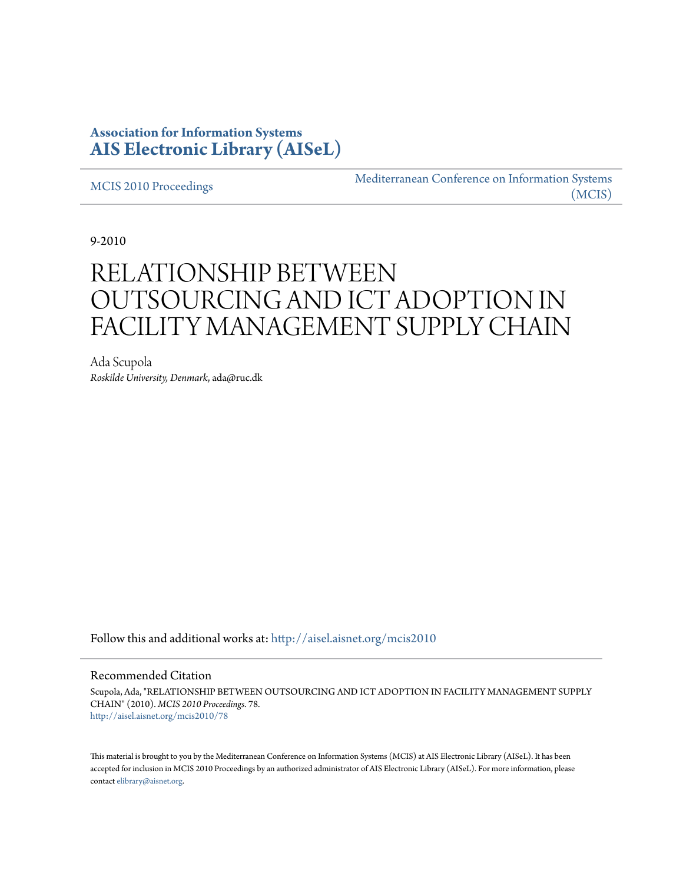## **Association for Information Systems [AIS Electronic Library \(AISeL\)](http://aisel.aisnet.org?utm_source=aisel.aisnet.org%2Fmcis2010%2F78&utm_medium=PDF&utm_campaign=PDFCoverPages)**

[MCIS 2010 Proceedings](http://aisel.aisnet.org/mcis2010?utm_source=aisel.aisnet.org%2Fmcis2010%2F78&utm_medium=PDF&utm_campaign=PDFCoverPages)

[Mediterranean Conference on Information Systems](http://aisel.aisnet.org/mcis?utm_source=aisel.aisnet.org%2Fmcis2010%2F78&utm_medium=PDF&utm_campaign=PDFCoverPages) [\(MCIS\)](http://aisel.aisnet.org/mcis?utm_source=aisel.aisnet.org%2Fmcis2010%2F78&utm_medium=PDF&utm_campaign=PDFCoverPages)

9-2010

# RELATIONSHIP BETWEEN OUTSOURCING AND ICT ADOPTION IN FACILITY MANAGEMENT SUPPLY CHAIN

Ada Scupola *Roskilde University, Denmark*, ada@ruc.dk

Follow this and additional works at: [http://aisel.aisnet.org/mcis2010](http://aisel.aisnet.org/mcis2010?utm_source=aisel.aisnet.org%2Fmcis2010%2F78&utm_medium=PDF&utm_campaign=PDFCoverPages)

#### Recommended Citation

Scupola, Ada, "RELATIONSHIP BETWEEN OUTSOURCING AND ICT ADOPTION IN FACILITY MANAGEMENT SUPPLY CHAIN" (2010). *MCIS 2010 Proceedings*. 78. [http://aisel.aisnet.org/mcis2010/78](http://aisel.aisnet.org/mcis2010/78?utm_source=aisel.aisnet.org%2Fmcis2010%2F78&utm_medium=PDF&utm_campaign=PDFCoverPages)

This material is brought to you by the Mediterranean Conference on Information Systems (MCIS) at AIS Electronic Library (AISeL). It has been accepted for inclusion in MCIS 2010 Proceedings by an authorized administrator of AIS Electronic Library (AISeL). For more information, please contact [elibrary@aisnet.org.](mailto:elibrary@aisnet.org%3E)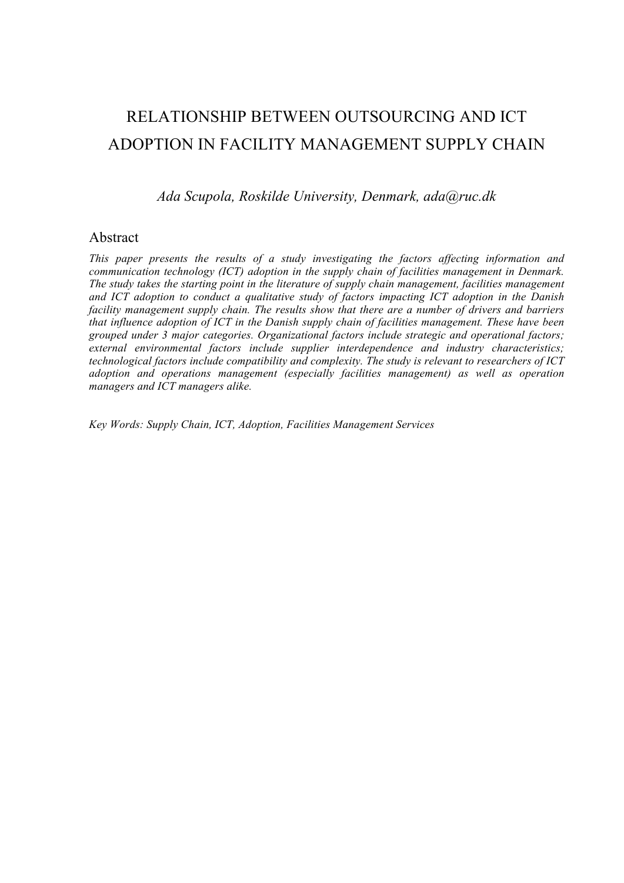## RELATIONSHIP BETWEEN OUTSOURCING AND ICT ADOPTION IN FACILITY MANAGEMENT SUPPLY CHAIN

*Ada Scupola, Roskilde University, Denmark, ada@ruc.dk*

#### Abstract

*This paper presents the results of a study investigating the factors affecting information and communication technology (ICT) adoption in the supply chain of facilities management in Denmark. The study takes the starting point in the literature of supply chain management, facilities management and ICT adoption to conduct a qualitative study of factors impacting ICT adoption in the Danish facility management supply chain. The results show that there are a number of drivers and barriers that influence adoption of ICT in the Danish supply chain of facilities management. These have been grouped under 3 major categories. Organizational factors include strategic and operational factors; external environmental factors include supplier interdependence and industry characteristics; technological factors include compatibility and complexity. The study is relevant to researchers of ICT adoption and operations management (especially facilities management) as well as operation managers and ICT managers alike.* 

*Key Words: Supply Chain, ICT, Adoption, Facilities Management Services*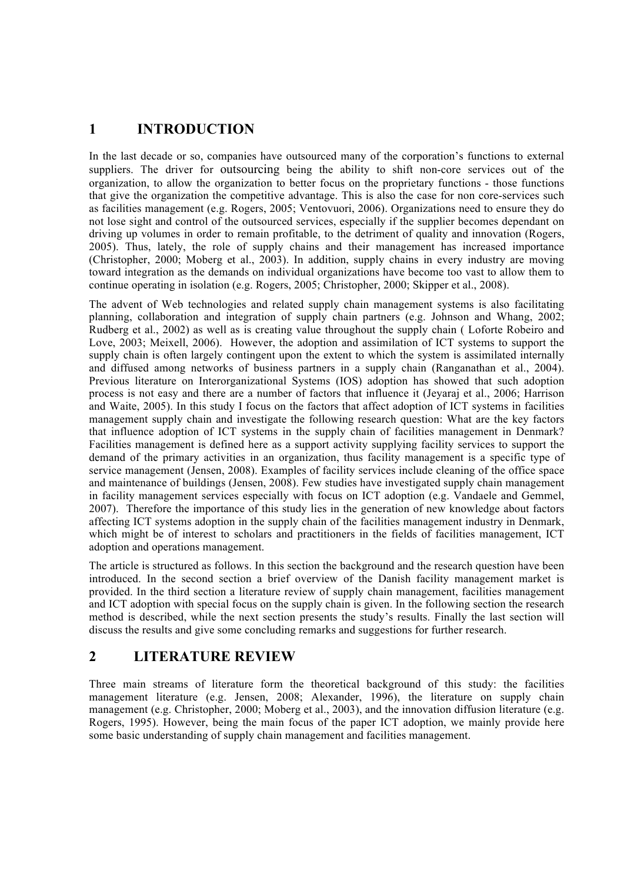## **1 INTRODUCTION**

In the last decade or so, companies have outsourced many of the corporation's functions to external suppliers. The driver for outsourcing being the ability to shift non-core services out of the organization, to allow the organization to better focus on the proprietary functions - those functions that give the organization the competitive advantage. This is also the case for non core-services such as facilities management (e.g. Rogers, 2005; Ventovuori, 2006). Organizations need to ensure they do not lose sight and control of the outsourced services, especially if the supplier becomes dependant on driving up volumes in order to remain profitable, to the detriment of quality and innovation (Rogers, 2005). Thus, lately, the role of supply chains and their management has increased importance (Christopher, 2000; Moberg et al., 2003). In addition, supply chains in every industry are moving toward integration as the demands on individual organizations have become too vast to allow them to continue operating in isolation (e.g. Rogers, 2005; Christopher, 2000; Skipper et al., 2008).

The advent of Web technologies and related supply chain management systems is also facilitating planning, collaboration and integration of supply chain partners (e.g. Johnson and Whang, 2002; Rudberg et al., 2002) as well as is creating value throughout the supply chain ( Loforte Robeiro and Love, 2003; Meixell, 2006). However, the adoption and assimilation of ICT systems to support the supply chain is often largely contingent upon the extent to which the system is assimilated internally and diffused among networks of business partners in a supply chain (Ranganathan et al., 2004). Previous literature on Interorganizational Systems (IOS) adoption has showed that such adoption process is not easy and there are a number of factors that influence it (Jeyaraj et al., 2006; Harrison and Waite, 2005). In this study I focus on the factors that affect adoption of ICT systems in facilities management supply chain and investigate the following research question: What are the key factors that influence adoption of ICT systems in the supply chain of facilities management in Denmark? Facilities management is defined here as a support activity supplying facility services to support the demand of the primary activities in an organization, thus facility management is a specific type of service management (Jensen, 2008). Examples of facility services include cleaning of the office space and maintenance of buildings (Jensen, 2008). Few studies have investigated supply chain management in facility management services especially with focus on ICT adoption (e.g. Vandaele and Gemmel, 2007). Therefore the importance of this study lies in the generation of new knowledge about factors affecting ICT systems adoption in the supply chain of the facilities management industry in Denmark, which might be of interest to scholars and practitioners in the fields of facilities management, ICT adoption and operations management.

The article is structured as follows. In this section the background and the research question have been introduced. In the second section a brief overview of the Danish facility management market is provided. In the third section a literature review of supply chain management, facilities management and ICT adoption with special focus on the supply chain is given. In the following section the research method is described, while the next section presents the study's results. Finally the last section will discuss the results and give some concluding remarks and suggestions for further research.

## **2 LITERATURE REVIEW**

Three main streams of literature form the theoretical background of this study: the facilities management literature (e.g. Jensen, 2008; Alexander, 1996), the literature on supply chain management (e.g. Christopher, 2000; Moberg et al., 2003), and the innovation diffusion literature (e.g. Rogers, 1995). However, being the main focus of the paper ICT adoption, we mainly provide here some basic understanding of supply chain management and facilities management.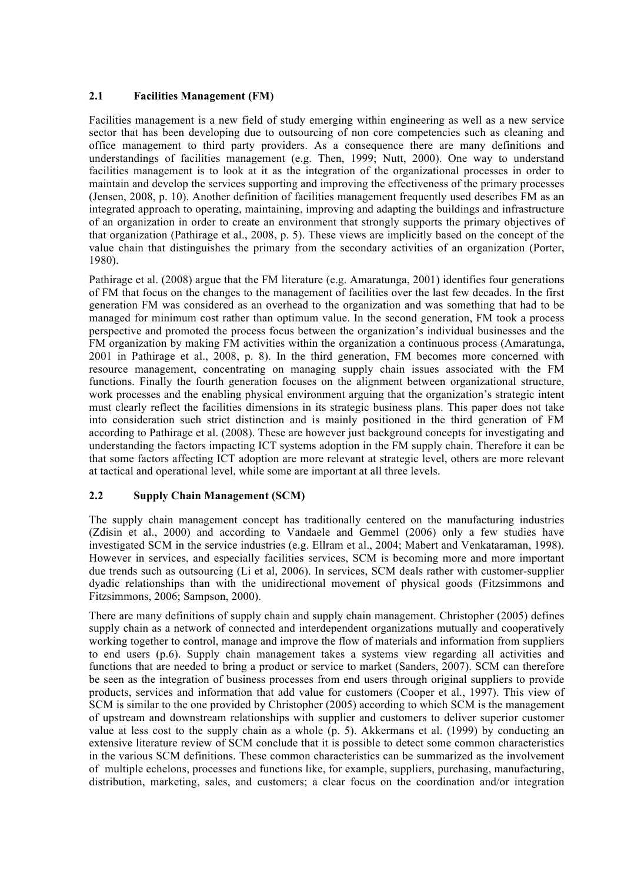#### **2.1 Facilities Management (FM)**

Facilities management is a new field of study emerging within engineering as well as a new service sector that has been developing due to outsourcing of non core competencies such as cleaning and office management to third party providers. As a consequence there are many definitions and understandings of facilities management (e.g. Then, 1999; Nutt, 2000). One way to understand facilities management is to look at it as the integration of the organizational processes in order to maintain and develop the services supporting and improving the effectiveness of the primary processes (Jensen, 2008, p. 10). Another definition of facilities management frequently used describes FM as an integrated approach to operating, maintaining, improving and adapting the buildings and infrastructure of an organization in order to create an environment that strongly supports the primary objectives of that organization (Pathirage et al., 2008, p. 5). These views are implicitly based on the concept of the value chain that distinguishes the primary from the secondary activities of an organization (Porter, 1980).

Pathirage et al. (2008) argue that the FM literature (e.g. Amaratunga, 2001) identifies four generations of FM that focus on the changes to the management of facilities over the last few decades. In the first generation FM was considered as an overhead to the organization and was something that had to be managed for minimum cost rather than optimum value. In the second generation, FM took a process perspective and promoted the process focus between the organization's individual businesses and the FM organization by making FM activities within the organization a continuous process (Amaratunga, 2001 in Pathirage et al., 2008, p. 8). In the third generation, FM becomes more concerned with resource management, concentrating on managing supply chain issues associated with the FM functions. Finally the fourth generation focuses on the alignment between organizational structure, work processes and the enabling physical environment arguing that the organization's strategic intent must clearly reflect the facilities dimensions in its strategic business plans. This paper does not take into consideration such strict distinction and is mainly positioned in the third generation of FM according to Pathirage et al. (2008). These are however just background concepts for investigating and understanding the factors impacting ICT systems adoption in the FM supply chain. Therefore it can be that some factors affecting ICT adoption are more relevant at strategic level, others are more relevant at tactical and operational level, while some are important at all three levels.

#### **2.2 Supply Chain Management (SCM)**

The supply chain management concept has traditionally centered on the manufacturing industries (Zdisin et al., 2000) and according to Vandaele and Gemmel (2006) only a few studies have investigated SCM in the service industries (e.g. Ellram et al., 2004; Mabert and Venkataraman, 1998). However in services, and especially facilities services, SCM is becoming more and more important due trends such as outsourcing (Li et al, 2006). In services, SCM deals rather with customer-supplier dyadic relationships than with the unidirectional movement of physical goods (Fitzsimmons and Fitzsimmons, 2006; Sampson, 2000).

There are many definitions of supply chain and supply chain management. Christopher (2005) defines supply chain as a network of connected and interdependent organizations mutually and cooperatively working together to control, manage and improve the flow of materials and information from suppliers to end users (p.6). Supply chain management takes a systems view regarding all activities and functions that are needed to bring a product or service to market (Sanders, 2007). SCM can therefore be seen as the integration of business processes from end users through original suppliers to provide products, services and information that add value for customers (Cooper et al., 1997). This view of SCM is similar to the one provided by Christopher (2005) according to which SCM is the management of upstream and downstream relationships with supplier and customers to deliver superior customer value at less cost to the supply chain as a whole (p. 5). Akkermans et al. (1999) by conducting an extensive literature review of SCM conclude that it is possible to detect some common characteristics in the various SCM definitions. These common characteristics can be summarized as the involvement of multiple echelons, processes and functions like, for example, suppliers, purchasing, manufacturing, distribution, marketing, sales, and customers; a clear focus on the coordination and/or integration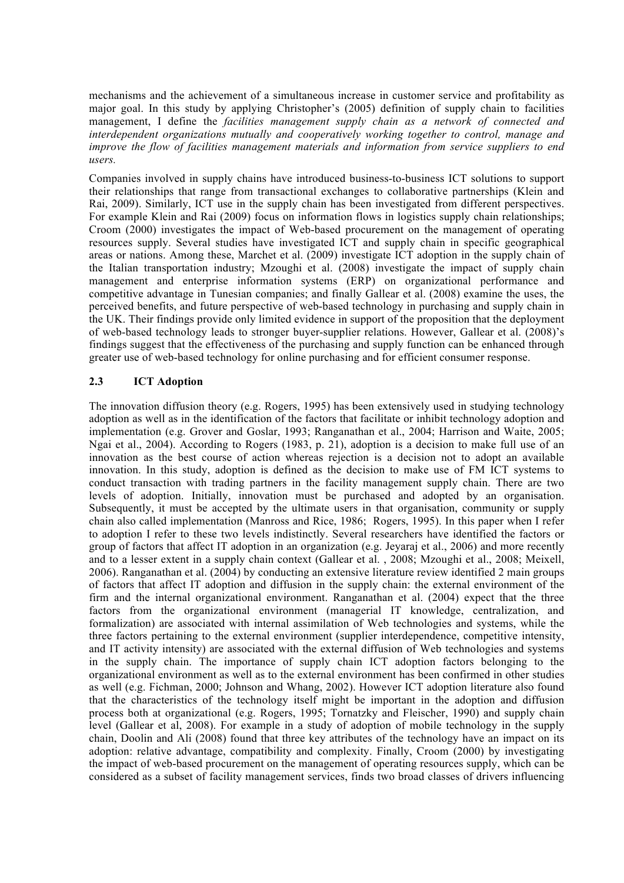mechanisms and the achievement of a simultaneous increase in customer service and profitability as major goal. In this study by applying Christopher's (2005) definition of supply chain to facilities management, I define the *facilities management supply chain as a network of connected and interdependent organizations mutually and cooperatively working together to control, manage and improve the flow of facilities management materials and information from service suppliers to end users.* 

Companies involved in supply chains have introduced business-to-business ICT solutions to support their relationships that range from transactional exchanges to collaborative partnerships (Klein and Rai, 2009). Similarly, ICT use in the supply chain has been investigated from different perspectives. For example Klein and Rai (2009) focus on information flows in logistics supply chain relationships; Croom (2000) investigates the impact of Web-based procurement on the management of operating resources supply. Several studies have investigated ICT and supply chain in specific geographical areas or nations. Among these, Marchet et al. (2009) investigate ICT adoption in the supply chain of the Italian transportation industry; Mzoughi et al. (2008) investigate the impact of supply chain management and enterprise information systems (ERP) on organizational performance and competitive advantage in Tunesian companies; and finally Gallear et al. (2008) examine the uses, the perceived benefits, and future perspective of web-based technology in purchasing and supply chain in the UK. Their findings provide only limited evidence in support of the proposition that the deployment of web-based technology leads to stronger buyer-supplier relations. However, Gallear et al. (2008)'s findings suggest that the effectiveness of the purchasing and supply function can be enhanced through greater use of web-based technology for online purchasing and for efficient consumer response.

#### **2.3 ICT Adoption**

The innovation diffusion theory (e.g. Rogers, 1995) has been extensively used in studying technology adoption as well as in the identification of the factors that facilitate or inhibit technology adoption and implementation (e.g. Grover and Goslar, 1993; Ranganathan et al., 2004; Harrison and Waite, 2005; Ngai et al., 2004). According to Rogers (1983, p. 21), adoption is a decision to make full use of an innovation as the best course of action whereas rejection is a decision not to adopt an available innovation. In this study, adoption is defined as the decision to make use of FM ICT systems to conduct transaction with trading partners in the facility management supply chain. There are two levels of adoption. Initially, innovation must be purchased and adopted by an organisation. Subsequently, it must be accepted by the ultimate users in that organisation, community or supply chain also called implementation (Manross and Rice, 1986; Rogers, 1995). In this paper when I refer to adoption I refer to these two levels indistinctly. Several researchers have identified the factors or group of factors that affect IT adoption in an organization (e.g. Jeyaraj et al., 2006) and more recently and to a lesser extent in a supply chain context (Gallear et al. , 2008; Mzoughi et al., 2008; Meixell, 2006). Ranganathan et al. (2004) by conducting an extensive literature review identified 2 main groups of factors that affect IT adoption and diffusion in the supply chain: the external environment of the firm and the internal organizational environment. Ranganathan et al. (2004) expect that the three factors from the organizational environment (managerial IT knowledge, centralization, and formalization) are associated with internal assimilation of Web technologies and systems, while the three factors pertaining to the external environment (supplier interdependence, competitive intensity, and IT activity intensity) are associated with the external diffusion of Web technologies and systems in the supply chain. The importance of supply chain ICT adoption factors belonging to the organizational environment as well as to the external environment has been confirmed in other studies as well (e.g. Fichman, 2000; Johnson and Whang, 2002). However ICT adoption literature also found that the characteristics of the technology itself might be important in the adoption and diffusion process both at organizational (e.g. Rogers, 1995; Tornatzky and Fleischer, 1990) and supply chain level (Gallear et al, 2008). For example in a study of adoption of mobile technology in the supply chain, Doolin and Ali (2008) found that three key attributes of the technology have an impact on its adoption: relative advantage, compatibility and complexity. Finally, Croom (2000) by investigating the impact of web-based procurement on the management of operating resources supply, which can be considered as a subset of facility management services, finds two broad classes of drivers influencing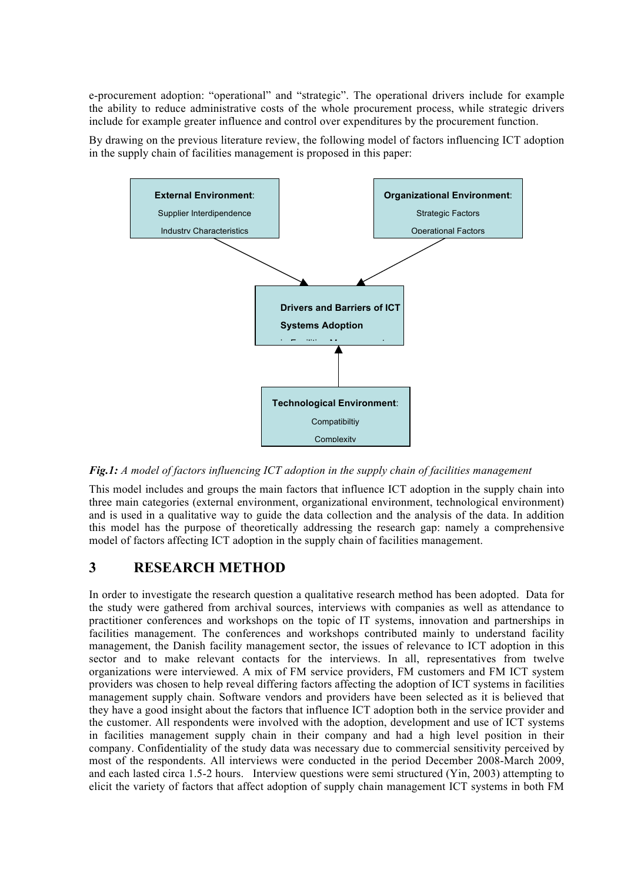e-procurement adoption: "operational" and "strategic". The operational drivers include for example the ability to reduce administrative costs of the whole procurement process, while strategic drivers include for example greater influence and control over expenditures by the procurement function.

By drawing on the previous literature review, the following model of factors influencing ICT adoption in the supply chain of facilities management is proposed in this paper:



*Fig.1: A model of factors influencing ICT adoption in the supply chain of facilities management*

This model includes and groups the main factors that influence ICT adoption in the supply chain into three main categories (external environment, organizational environment, technological environment) and is used in a qualitative way to guide the data collection and the analysis of the data. In addition this model has the purpose of theoretically addressing the research gap: namely a comprehensive model of factors affecting ICT adoption in the supply chain of facilities management.

## **3 RESEARCH METHOD**

In order to investigate the research question a qualitative research method has been adopted. Data for the study were gathered from archival sources, interviews with companies as well as attendance to practitioner conferences and workshops on the topic of IT systems, innovation and partnerships in facilities management. The conferences and workshops contributed mainly to understand facility management, the Danish facility management sector, the issues of relevance to ICT adoption in this sector and to make relevant contacts for the interviews. In all, representatives from twelve organizations were interviewed. A mix of FM service providers, FM customers and FM ICT system providers was chosen to help reveal differing factors affecting the adoption of ICT systems in facilities management supply chain. Software vendors and providers have been selected as it is believed that they have a good insight about the factors that influence ICT adoption both in the service provider and the customer. All respondents were involved with the adoption, development and use of ICT systems in facilities management supply chain in their company and had a high level position in their company. Confidentiality of the study data was necessary due to commercial sensitivity perceived by most of the respondents. All interviews were conducted in the period December 2008-March 2009, and each lasted circa 1.5-2 hours. Interview questions were semi structured (Yin, 2003) attempting to elicit the variety of factors that affect adoption of supply chain management ICT systems in both FM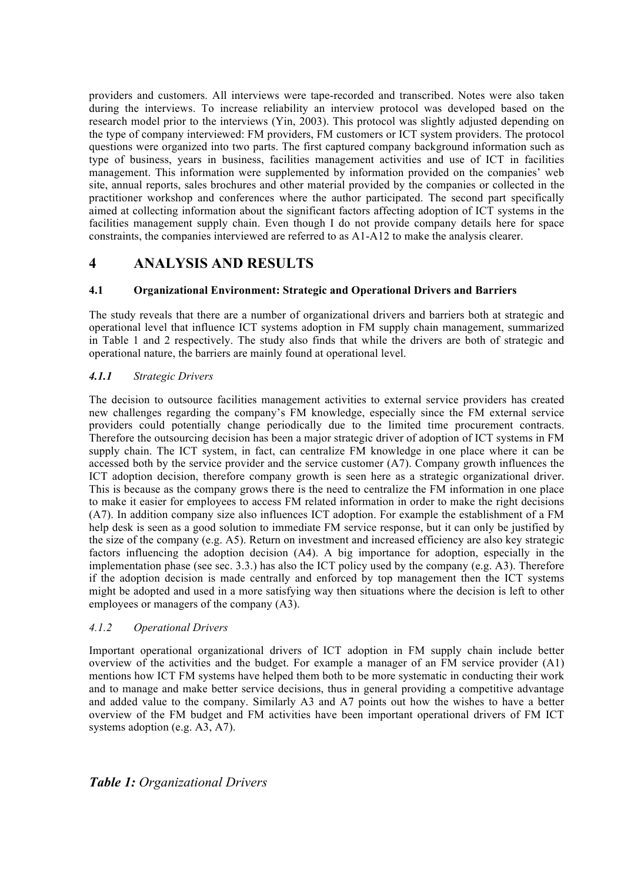providers and customers. All interviews were tape-recorded and transcribed. Notes were also taken during the interviews. To increase reliability an interview protocol was developed based on the research model prior to the interviews (Yin, 2003). This protocol was slightly adjusted depending on the type of company interviewed: FM providers, FM customers or ICT system providers. The protocol questions were organized into two parts. The first captured company background information such as type of business, years in business, facilities management activities and use of ICT in facilities management. This information were supplemented by information provided on the companies' web site, annual reports, sales brochures and other material provided by the companies or collected in the practitioner workshop and conferences where the author participated. The second part specifically aimed at collecting information about the significant factors affecting adoption of ICT systems in the facilities management supply chain. Even though I do not provide company details here for space constraints, the companies interviewed are referred to as A1-A12 to make the analysis clearer.

## **4 ANALYSIS AND RESULTS**

#### **4.1 Organizational Environment: Strategic and Operational Drivers and Barriers**

The study reveals that there are a number of organizational drivers and barriers both at strategic and operational level that influence ICT systems adoption in FM supply chain management, summarized in Table 1 and 2 respectively. The study also finds that while the drivers are both of strategic and operational nature, the barriers are mainly found at operational level.

#### *4.1.1 Strategic Drivers*

The decision to outsource facilities management activities to external service providers has created new challenges regarding the company's FM knowledge, especially since the FM external service providers could potentially change periodically due to the limited time procurement contracts. Therefore the outsourcing decision has been a major strategic driver of adoption of ICT systems in FM supply chain. The ICT system, in fact, can centralize FM knowledge in one place where it can be accessed both by the service provider and the service customer (A7). Company growth influences the ICT adoption decision, therefore company growth is seen here as a strategic organizational driver. This is because as the company grows there is the need to centralize the FM information in one place to make it easier for employees to access FM related information in order to make the right decisions (A7). In addition company size also influences ICT adoption. For example the establishment of a FM help desk is seen as a good solution to immediate FM service response, but it can only be justified by the size of the company (e.g. A5). Return on investment and increased efficiency are also key strategic factors influencing the adoption decision (A4). A big importance for adoption, especially in the implementation phase (see sec. 3.3.) has also the ICT policy used by the company (e.g. A3). Therefore if the adoption decision is made centrally and enforced by top management then the ICT systems might be adopted and used in a more satisfying way then situations where the decision is left to other employees or managers of the company (A3).

#### *4.1.2 Operational Drivers*

Important operational organizational drivers of ICT adoption in FM supply chain include better overview of the activities and the budget. For example a manager of an FM service provider (A1) mentions how ICT FM systems have helped them both to be more systematic in conducting their work and to manage and make better service decisions, thus in general providing a competitive advantage and added value to the company. Similarly A3 and A7 points out how the wishes to have a better overview of the FM budget and FM activities have been important operational drivers of FM ICT systems adoption (e.g. A3, A7).

### *Table 1: Organizational Drivers*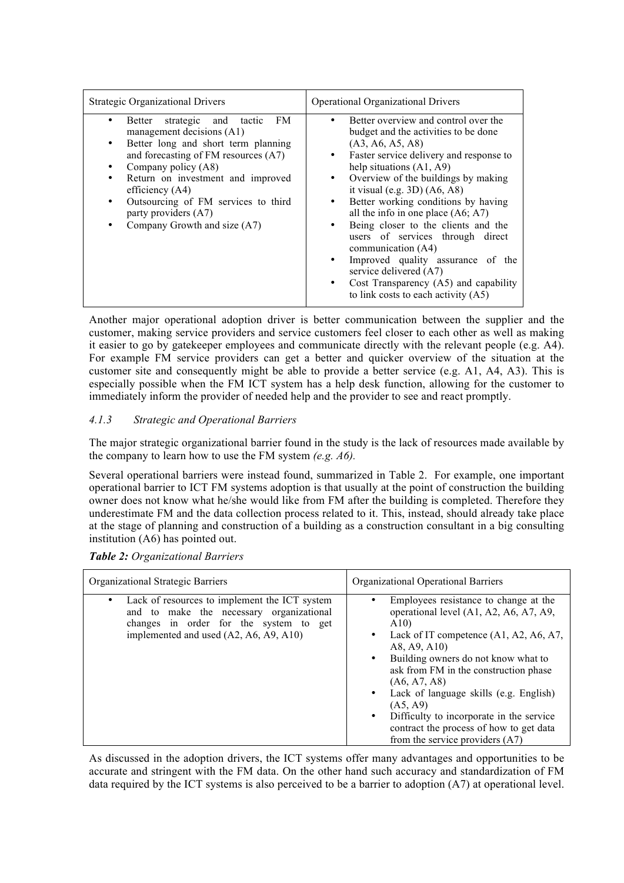| <b>Strategic Organizational Drivers</b>                                                                                                                                                                                                                                                                                                                                 | <b>Operational Organizational Drivers</b>                                                                                                                                                                                                                                                                                                                                                                                                                                                                                                                                                 |
|-------------------------------------------------------------------------------------------------------------------------------------------------------------------------------------------------------------------------------------------------------------------------------------------------------------------------------------------------------------------------|-------------------------------------------------------------------------------------------------------------------------------------------------------------------------------------------------------------------------------------------------------------------------------------------------------------------------------------------------------------------------------------------------------------------------------------------------------------------------------------------------------------------------------------------------------------------------------------------|
| FM.<br>strategic and tactic<br>Better<br>٠<br>management decisions (A1)<br>Better long and short term planning<br>٠<br>and forecasting of FM resources (A7)<br>Company policy (A8)<br>٠<br>Return on investment and improved<br>$\bullet$<br>efficiency $(A4)$<br>Outsourcing of FM services to third<br>٠<br>party providers (A7)<br>Company Growth and size (A7)<br>٠ | Better overview and control over the<br>٠<br>budget and the activities to be done<br>(A3, A6, A5, A8)<br>Faster service delivery and response to<br>help situations $(A1, A9)$<br>Overview of the buildings by making<br>it visual (e.g. $3D$ ) (A6, A8)<br>Better working conditions by having<br>all the info in one place $(As, A7)$<br>Being closer to the clients and the<br>users of services through direct<br>communication (A4)<br>Improved quality assurance of the<br>service delivered (A7)<br>Cost Transparency (A5) and capability<br>to link costs to each activity $(A5)$ |

Another major operational adoption driver is better communication between the supplier and the customer, making service providers and service customers feel closer to each other as well as making it easier to go by gatekeeper employees and communicate directly with the relevant people (e.g. A4). For example FM service providers can get a better and quicker overview of the situation at the customer site and consequently might be able to provide a better service (e.g. A1, A4, A3). This is especially possible when the FM ICT system has a help desk function, allowing for the customer to immediately inform the provider of needed help and the provider to see and react promptly.

#### *4.1.3 Strategic and Operational Barriers*

The major strategic organizational barrier found in the study is the lack of resources made available by the company to learn how to use the FM system *(e.g. A6).*

Several operational barriers were instead found, summarized in Table 2. For example, one important operational barrier to ICT FM systems adoption is that usually at the point of construction the building owner does not know what he/she would like from FM after the building is completed. Therefore they underestimate FM and the data collection process related to it. This, instead, should already take place at the stage of planning and construction of a building as a construction consultant in a big consulting institution (A6) has pointed out.

| Organizational Strategic Barriers                                                                                                                                                          | Organizational Operational Barriers                                                                                                                                                                                                                                                                                                                                                                                                                   |
|--------------------------------------------------------------------------------------------------------------------------------------------------------------------------------------------|-------------------------------------------------------------------------------------------------------------------------------------------------------------------------------------------------------------------------------------------------------------------------------------------------------------------------------------------------------------------------------------------------------------------------------------------------------|
| Lack of resources to implement the ICT system<br>$\bullet$<br>and to make the necessary organizational<br>changes in order for the system to get<br>implemented and used (A2, A6, A9, A10) | Employees resistance to change at the<br>operational level (A1, A2, A6, A7, A9,<br>A10<br>Lack of IT competence $(A1, A2, A6, A7)$ ,<br>$\bullet$<br>A8, A9, A10)<br>Building owners do not know what to<br>ask from FM in the construction phase<br>(A6, A7, A8)<br>• Lack of language skills (e.g. English)<br>(A5, A9)<br>Difficulty to incorporate in the service<br>contract the process of how to get data<br>from the service providers $(A7)$ |

*Table 2: Organizational Barriers*

As discussed in the adoption drivers, the ICT systems offer many advantages and opportunities to be accurate and stringent with the FM data. On the other hand such accuracy and standardization of FM data required by the ICT systems is also perceived to be a barrier to adoption (A7) at operational level.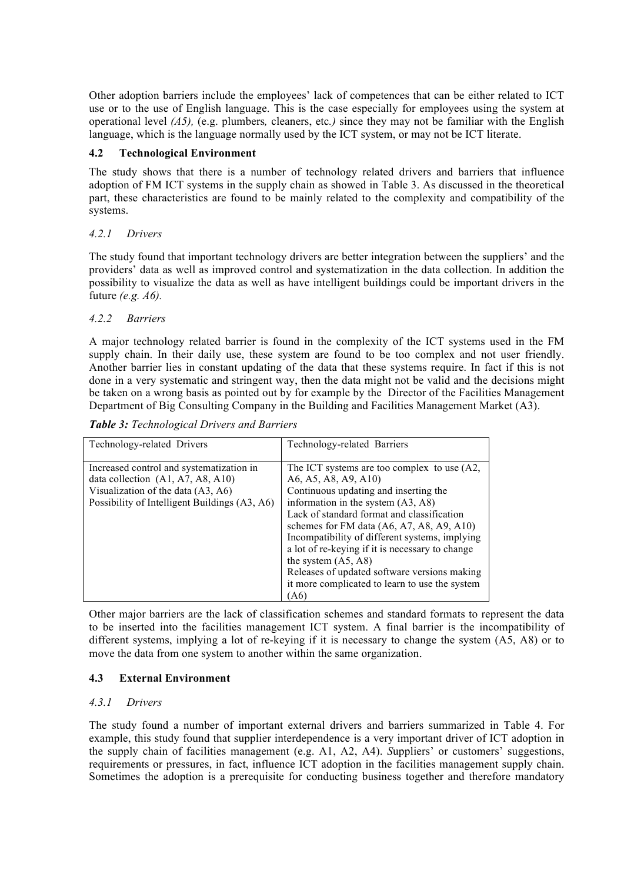Other adoption barriers include the employees' lack of competences that can be either related to ICT use or to the use of English language. This is the case especially for employees using the system at operational level *(A5),* (e.g. plumbers*,* cleaners, etc*.)* since they may not be familiar with the English language, which is the language normally used by the ICT system, or may not be ICT literate.

#### **4.2 Technological Environment**

The study shows that there is a number of technology related drivers and barriers that influence adoption of FM ICT systems in the supply chain as showed in Table 3. As discussed in the theoretical part, these characteristics are found to be mainly related to the complexity and compatibility of the systems.

#### *4.2.1 Drivers*

The study found that important technology drivers are better integration between the suppliers' and the providers' data as well as improved control and systematization in the data collection. In addition the possibility to visualize the data as well as have intelligent buildings could be important drivers in the future *(e.g. A6).*

#### *4.2.2 Barriers*

A major technology related barrier is found in the complexity of the ICT systems used in the FM supply chain. In their daily use, these system are found to be too complex and not user friendly. Another barrier lies in constant updating of the data that these systems require. In fact if this is not done in a very systematic and stringent way, then the data might not be valid and the decisions might be taken on a wrong basis as pointed out by for example by the Director of the Facilities Management Department of Big Consulting Company in the Building and Facilities Management Market (A3).

*Table 3: Technological Drivers and Barriers*

| Technology-related Drivers                                                                                                                                             | Technology-related Barriers                                                                                                                                                                                                                                                                                                                                                                                                                                                               |
|------------------------------------------------------------------------------------------------------------------------------------------------------------------------|-------------------------------------------------------------------------------------------------------------------------------------------------------------------------------------------------------------------------------------------------------------------------------------------------------------------------------------------------------------------------------------------------------------------------------------------------------------------------------------------|
| Increased control and systematization in<br>data collection $(A1, A7, A8, A10)$<br>Visualization of the data (A3, A6)<br>Possibility of Intelligent Buildings (A3, A6) | The ICT systems are too complex to use (A2,<br>A6, A5, A8, A9, A10)<br>Continuous updating and inserting the<br>information in the system $(A3, A8)$<br>Lack of standard format and classification<br>schemes for FM data $(AG, A7, A8, A9, A10)$<br>Incompatibility of different systems, implying<br>a lot of re-keying if it is necessary to change<br>the system $(A5, A8)$<br>Releases of updated software versions making<br>it more complicated to learn to use the system<br>(A6) |

Other major barriers are the lack of classification schemes and standard formats to represent the data to be inserted into the facilities management ICT system. A final barrier is the incompatibility of different systems, implying a lot of re-keying if it is necessary to change the system  $(A\overline{5}, A8)$  or to move the data from one system to another within the same organization.

#### **4.3 External Environment**

#### *4.3.1 Drivers*

The study found a number of important external drivers and barriers summarized in Table 4. For example, this study found that supplier interdependence is a very important driver of ICT adoption in the supply chain of facilities management (e.g. A1, A2, A4). *S*uppliers' or customers' suggestions, requirements or pressures, in fact, influence ICT adoption in the facilities management supply chain. Sometimes the adoption is a prerequisite for conducting business together and therefore mandatory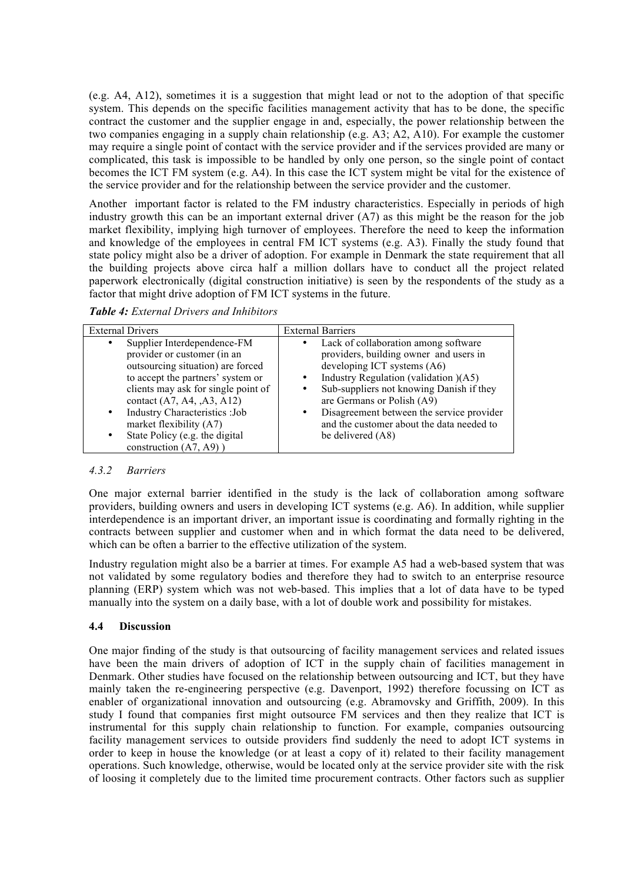(e.g. A4, A12), sometimes it is a suggestion that might lead or not to the adoption of that specific system. This depends on the specific facilities management activity that has to be done, the specific contract the customer and the supplier engage in and, especially, the power relationship between the two companies engaging in a supply chain relationship (e.g. A3; A2, A10). For example the customer may require a single point of contact with the service provider and if the services provided are many or complicated, this task is impossible to be handled by only one person, so the single point of contact becomes the ICT FM system (e.g. A4). In this case the ICT system might be vital for the existence of the service provider and for the relationship between the service provider and the customer.

Another important factor is related to the FM industry characteristics. Especially in periods of high industry growth this can be an important external driver (A7) as this might be the reason for the job market flexibility, implying high turnover of employees. Therefore the need to keep the information and knowledge of the employees in central FM ICT systems (e.g. A3). Finally the study found that state policy might also be a driver of adoption. For example in Denmark the state requirement that all the building projects above circa half a million dollars have to conduct all the project related paperwork electronically (digital construction initiative) is seen by the respondents of the study as a factor that might drive adoption of FM ICT systems in the future.

| <b>External Drivers</b>                                                                                                                                                                                                                                                                                                                                                        | <b>External Barriers</b>                                                                                                                                                                                                                                                                                                                                                      |
|--------------------------------------------------------------------------------------------------------------------------------------------------------------------------------------------------------------------------------------------------------------------------------------------------------------------------------------------------------------------------------|-------------------------------------------------------------------------------------------------------------------------------------------------------------------------------------------------------------------------------------------------------------------------------------------------------------------------------------------------------------------------------|
| Supplier Interdependence-FM<br>$\bullet$<br>provider or customer (in an<br>outsourcing situation) are forced<br>to accept the partners' system or<br>clients may ask for single point of<br>contact (A7, A4, ,A3, A12)<br>Industry Characteristics : Job<br>$\bullet$ .<br>market flexibility (A7)<br>State Policy (e.g. the digital<br>$\bullet$<br>construction $(A7, A9)$ ) | Lack of collaboration among software<br>providers, building owner and users in<br>developing ICT systems (A6)<br>Industry Regulation (validation)(A5)<br>$\bullet$<br>Sub-suppliers not knowing Danish if they<br>$\bullet$<br>are Germans or Polish (A9)<br>Disagreement between the service provider<br>٠<br>and the customer about the data needed to<br>be delivered (A8) |

*Table 4: External Drivers and Inhibitors*

#### *4.3.2 Barriers*

One major external barrier identified in the study is the lack of collaboration among software providers, building owners and users in developing ICT systems (e.g. A6). In addition, while supplier interdependence is an important driver, an important issue is coordinating and formally righting in the contracts between supplier and customer when and in which format the data need to be delivered, which can be often a barrier to the effective utilization of the system.

Industry regulation might also be a barrier at times. For example A5 had a web-based system that was not validated by some regulatory bodies and therefore they had to switch to an enterprise resource planning (ERP) system which was not web-based. This implies that a lot of data have to be typed manually into the system on a daily base, with a lot of double work and possibility for mistakes.

#### **4.4 Discussion**

One major finding of the study is that outsourcing of facility management services and related issues have been the main drivers of adoption of ICT in the supply chain of facilities management in Denmark. Other studies have focused on the relationship between outsourcing and ICT, but they have mainly taken the re-engineering perspective (e.g. Davenport, 1992) therefore focussing on ICT as enabler of organizational innovation and outsourcing (e.g. Abramovsky and Griffith, 2009). In this study I found that companies first might outsource FM services and then they realize that ICT is instrumental for this supply chain relationship to function. For example, companies outsourcing facility management services to outside providers find suddenly the need to adopt ICT systems in order to keep in house the knowledge (or at least a copy of it) related to their facility management operations. Such knowledge, otherwise, would be located only at the service provider site with the risk of loosing it completely due to the limited time procurement contracts. Other factors such as supplier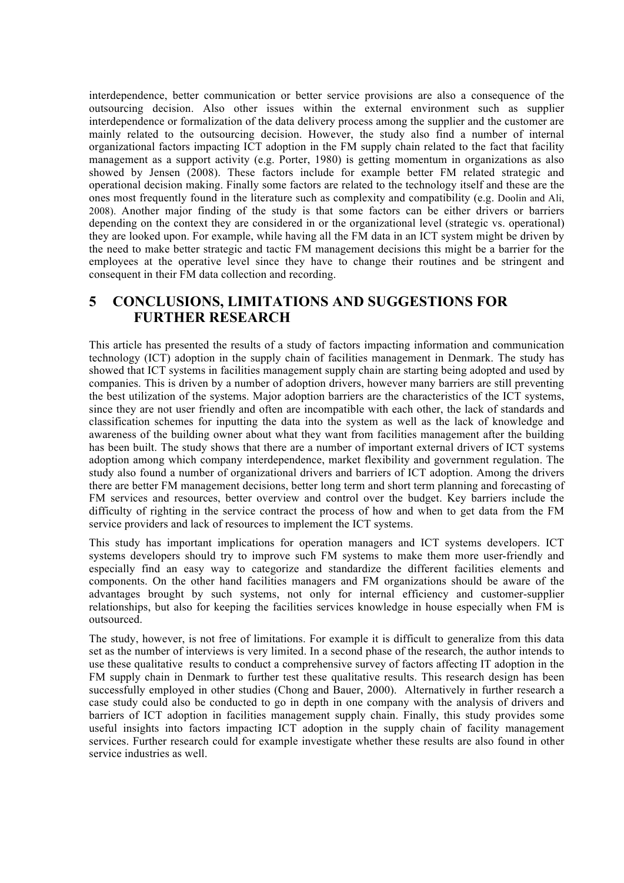interdependence, better communication or better service provisions are also a consequence of the outsourcing decision. Also other issues within the external environment such as supplier interdependence or formalization of the data delivery process among the supplier and the customer are mainly related to the outsourcing decision. However, the study also find a number of internal organizational factors impacting ICT adoption in the FM supply chain related to the fact that facility management as a support activity (e.g. Porter, 1980) is getting momentum in organizations as also showed by Jensen (2008). These factors include for example better FM related strategic and operational decision making. Finally some factors are related to the technology itself and these are the ones most frequently found in the literature such as complexity and compatibility (e.g. Doolin and Ali, 2008). Another major finding of the study is that some factors can be either drivers or barriers depending on the context they are considered in or the organizational level (strategic vs. operational) they are looked upon. For example, while having all the FM data in an ICT system might be driven by the need to make better strategic and tactic FM management decisions this might be a barrier for the employees at the operative level since they have to change their routines and be stringent and consequent in their FM data collection and recording.

## **5 CONCLUSIONS, LIMITATIONS AND SUGGESTIONS FOR FURTHER RESEARCH**

This article has presented the results of a study of factors impacting information and communication technology (ICT) adoption in the supply chain of facilities management in Denmark. The study has showed that ICT systems in facilities management supply chain are starting being adopted and used by companies. This is driven by a number of adoption drivers, however many barriers are still preventing the best utilization of the systems. Major adoption barriers are the characteristics of the ICT systems, since they are not user friendly and often are incompatible with each other, the lack of standards and classification schemes for inputting the data into the system as well as the lack of knowledge and awareness of the building owner about what they want from facilities management after the building has been built. The study shows that there are a number of important external drivers of ICT systems adoption among which company interdependence, market flexibility and government regulation. The study also found a number of organizational drivers and barriers of ICT adoption. Among the drivers there are better FM management decisions, better long term and short term planning and forecasting of FM services and resources, better overview and control over the budget. Key barriers include the difficulty of righting in the service contract the process of how and when to get data from the FM service providers and lack of resources to implement the ICT systems.

This study has important implications for operation managers and ICT systems developers. ICT systems developers should try to improve such FM systems to make them more user-friendly and especially find an easy way to categorize and standardize the different facilities elements and components. On the other hand facilities managers and FM organizations should be aware of the advantages brought by such systems, not only for internal efficiency and customer-supplier relationships, but also for keeping the facilities services knowledge in house especially when FM is outsourced.

The study, however, is not free of limitations. For example it is difficult to generalize from this data set as the number of interviews is very limited. In a second phase of the research, the author intends to use these qualitative results to conduct a comprehensive survey of factors affecting IT adoption in the FM supply chain in Denmark to further test these qualitative results. This research design has been successfully employed in other studies (Chong and Bauer, 2000). Alternatively in further research a case study could also be conducted to go in depth in one company with the analysis of drivers and barriers of ICT adoption in facilities management supply chain. Finally, this study provides some useful insights into factors impacting ICT adoption in the supply chain of facility management services. Further research could for example investigate whether these results are also found in other service industries as well.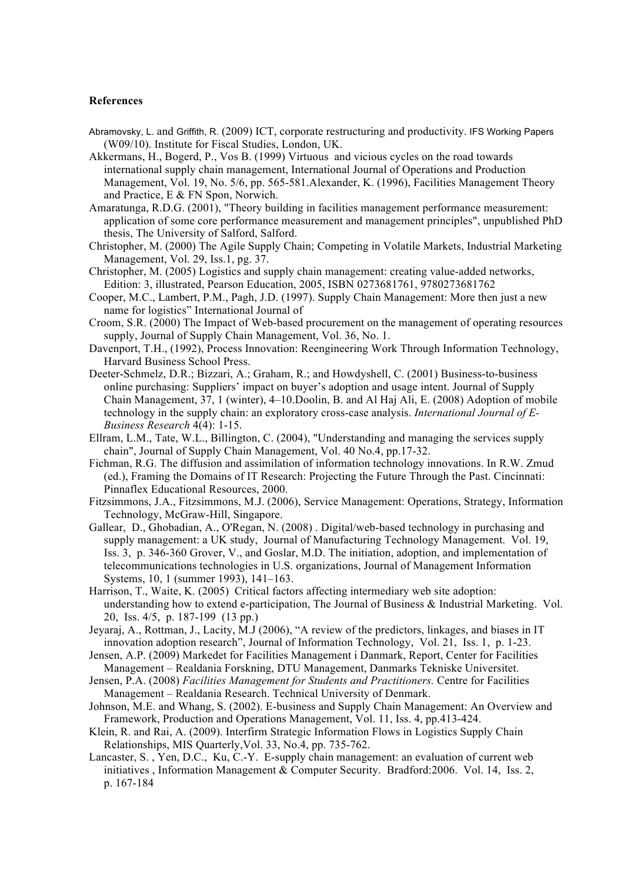#### **References**

- Abramovsky, L. and Griffith, R. (2009) ICT, corporate restructuring and productivity. IFS Working Papers (W09/10). Institute for Fiscal Studies, London, UK.
- Akkermans, H., Bogerd, P., Vos B. (1999) Virtuous and vicious cycles on the road towards international supply chain management, International Journal of Operations and Production Management, Vol. 19, No. 5/6, pp. 565-581.Alexander, K. (1996), Facilities Management Theory and Practice, E & FN Spon, Norwich.
- Amaratunga, R.D.G. (2001), "Theory building in facilities management performance measurement: application of some core performance measurement and management principles", unpublished PhD thesis, The University of Salford, Salford.
- Christopher, M. (2000) The Agile Supply Chain; Competing in Volatile Markets, Industrial Marketing Management, Vol. 29, Iss.1, pg. 37.
- Christopher, M. (2005) Logistics and supply chain management: creating value-added networks, Edition: 3, illustrated, Pearson Education, 2005, ISBN 0273681761, 9780273681762
- Cooper, M.C., Lambert, P.M., Pagh, J.D. (1997). Supply Chain Management: More then just a new name for logistics" International Journal of
- Croom, S.R. (2000) The Impact of Web-based procurement on the management of operating resources supply, Journal of Supply Chain Management, Vol. 36, No. 1.
- Davenport, T.H., (1992), Process Innovation: Reengineering Work Through Information Technology, Harvard Business School Press.
- Deeter-Schmelz, D.R.; Bizzari, A.; Graham, R.; and Howdyshell, C. (2001) Business-to-business online purchasing: Suppliers' impact on buyer's adoption and usage intent. Journal of Supply Chain Management, 37, 1 (winter), 4–10.Doolin, B. and Al Haj Ali, E. (2008) Adoption of mobile technology in the supply chain: an exploratory cross-case analysis. *International Journal of E-Business Research* 4(4): 1-15.
- Ellram, L.M., Tate, W.L., Billington, C. (2004), "Understanding and managing the services supply chain", Journal of Supply Chain Management, Vol. 40 No.4, pp.17-32.
- Fichman, R.G. The diffusion and assimilation of information technology innovations. In R.W. Zmud (ed.), Framing the Domains of IT Research: Projecting the Future Through the Past. Cincinnati: Pinnaflex Educational Resources, 2000.
- Fitzsimmons, J.A., Fitzsimmons, M.J. (2006), Service Management: Operations, Strategy, Information Technology, McGraw-Hill, Singapore.
- Gallear, D., Ghobadian, A., O'Regan, N. (2008) . Digital/web-based technology in purchasing and supply management: a UK study, Journal of Manufacturing Technology Management. Vol. 19, Iss. 3, p. 346-360 Grover, V., and Goslar, M.D. The initiation, adoption, and implementation of telecommunications technologies in U.S. organizations, Journal of Management Information Systems, 10, 1 (summer 1993), 141–163.
- Harrison, T., Waite, K. (2005) Critical factors affecting intermediary web site adoption: understanding how to extend e-participation, The Journal of Business & Industrial Marketing. Vol. 20, Iss. 4/5, p. 187-199 (13 pp.)
- Jeyaraj, A., Rottman, J., Lacity, M.J (2006), "A review of the predictors, linkages, and biases in IT innovation adoption research", Journal of Information Technology, Vol. 21, Iss. 1, p. 1-23.
- Jensen, A.P. (2009) Markedet for Facilities Management i Danmark, Report, Center for Facilities Management – Realdania Forskning, DTU Management, Danmarks Tekniske Universitet.
- Jensen, P.A. (2008) *Facilities Management for Students and Practitioners.* Centre for Facilities Management – Realdania Research. Technical University of Denmark.
- Johnson, M.E. and Whang, S. (2002). E-business and Supply Chain Management: An Overview and Framework, Production and Operations Management, Vol. 11, Iss. 4, pp.413-424.
- Klein, R. and Rai, A. (2009). Interfirm Strategic Information Flows in Logistics Supply Chain Relationships, MIS Quarterly,Vol. 33, No.4, pp. 735-762.
- Lancaster, S. , Yen, D.C., Ku, C.-Y. E-supply chain management: an evaluation of current web initiatives , Information Management & Computer Security. Bradford:2006. Vol. 14, Iss. 2, p. 167-184